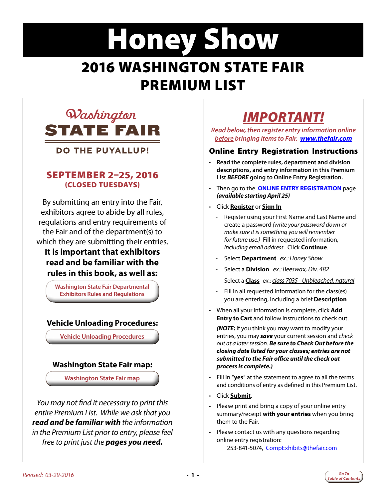# <span id="page-0-0"></span>Honey Show 2016 WASHINGTON STATE FAIR PREMIUM LIST



**DO THE PUYALLUP!** 

### SEPTEMBER 2–25, 2016 (CLOSED TUESDAYS)

By submitting an entry into the Fair, exhibitors agree to abide by all rules, regulations and entry requirements of the Fair and of the department(s) to which they are submitting their entries.

### **It is important that exhibitors read and be familiar with the rules in this book, as well as:**

**Washington State Fair Departmental Exhibitors Rules and Regulations**

### **Vehicle Unloading Procedures:**

**Vehicle Unloading Procedures**

#### **Washington State Fair map:**

**Washington State Fair map**

*You may not find it necessary to print this entire Premium List. While we ask that you read and be familiar with the information in the Premium List prior to entry, please feel free to print just the pages you need.*

*Read below, then register entry information online before bringing items to Fair. [www.thefair.com](http://www.thefair.com/participate/exhibit-entries/)*

### Online Entry Registration Instructions

- **Read the complete rules, department and division descriptions, and entry information in this Premium List** *BEFORE* **going to Online Entry Registration.**
- Then go to the **[ONLINE ENTRY REGISTRATION](http://wwf.fairmanager.com/)** page *(available starting April 25)*
- Click **Register** or **Sign In**
	- Register using your First Name and Last Name and create a password *(write your password down or make sure it is something you will remember for future use.)* Fill in requested information, *including email address*. Click **Continue**.
	- Select **Department** *ex.: Honey Show*
	- Select a **Division** *ex.: Beeswax, Div. 482*
	- Select a **Class** *ex.: class 7035 Unbleached, natural*
	- Fill in all requested information for the class(es) you are entering, including a brief **Description**
- When all your information is complete, click **Add Entry to Cart** and follow instructions to check out.

*(NOTE:* If you think you may want to modify your entries, you may *save* your current session and *check out at a later session*. *Be sure to Check Out before the closing date listed for your classes; entries are not submitted to the Fair office until the check out process is complete.)*

- Fill in "**yes**" at the statement to agree to all the terms and conditions of entry as defined in this Premium List.
- Click **Submit**.
- Please print and bring a copy of your online entry summary/receipt **with your entries** when you bring them to the Fair.
- Please contact us with any questions regarding online entry registration: 253-841-5074, [CompExhibits@thefair.com](mailto:CompExhibits%40thefair.com?subject=Honey%20Show%20inquiry)

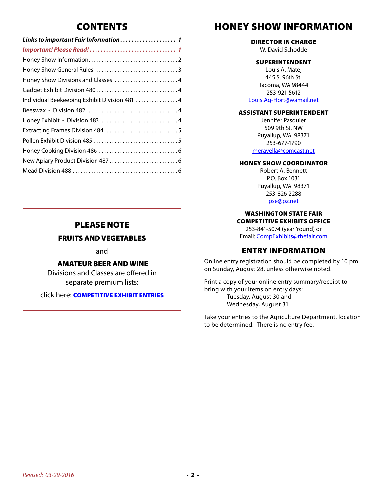### CONTENTS

| Links to important Fair Information 1        |
|----------------------------------------------|
|                                              |
|                                              |
|                                              |
| Honey Show Divisions and Classes 4           |
|                                              |
| Individual Beekeeping Exhibit Division 481 4 |
|                                              |
|                                              |
|                                              |
|                                              |
|                                              |
|                                              |
|                                              |
|                                              |

### PLEASE NOTE

#### FRUITS AND VEGETABLES

and

#### AMATEUR BEER AND WINE

Divisions and Classes are offered in separate premium lists:

click here: **[COMPETITIVE EXHIBIT ENTRIES](http://www.thefair.com/participate/exhibit-entries/)** 

### HONEY SHOW INFORMATION

#### DIRECTOR IN CHARGE

W. David Schodde

#### SUPERINTENDENT

Louis A. Matej 445 S. 96th St. Tacoma, WA 98444 253-921-5612 [Louis.Ag-Hort@wamail.net](mailto:Louis.Ag-Hort%40wamail.net?subject=Honey%20Show%20inquiry)

#### ASSISTANT SUPERINTENDENT

Jennifer Pasquier 509 9th St. NW Puyallup, WA 98371 253-677-1790 [meravella@comcast.net](mailto:meravella%40comcast.net?subject=Honey%20Show%20inquiry)

#### HONEY SHOW COORDINATOR

Robert A. Bennett P.O. Box 1031 Puyallup, WA 98371 253-826-2288 [pse@pz.net](mailto:pse%40pz.net?subject=Honey%20Show%20inquiry)

WASHINGTON STATE FAIR COMPETITIVE EXHIBITS OFFICE

253-841-5074 (year 'round) or Email: [CompExhibits@thefair.com](mailto:CompExhibits%40thefair.com?subject=Competitive%20Exhibits%20question)

### ENTRY INFORMATION

Online entry registration should be completed by 10 pm on Sunday, August 28, unless otherwise noted.

Print a copy of your online entry summary/receipt to bring with your items on entry days: Tuesday, August 30 and Wednesday, August 31

Take your entries to the Agriculture Department, location to be determined. There is no entry fee.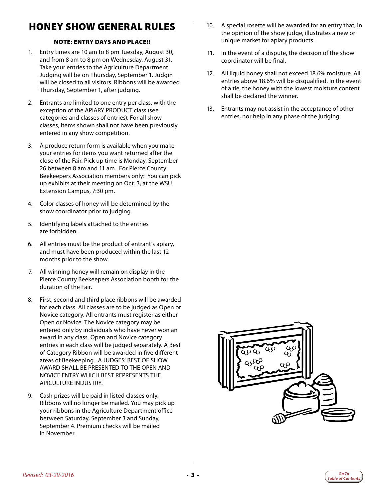## <span id="page-2-0"></span>HONEY SHOW GENERAL RULES

#### NOTE: ENTRY DAYS AND PLACE!!

- 1. Entry times are 10 am to 8 pm Tuesday, August 30, and from 8 am to 8 pm on Wednesday, August 31. Take your entries to the Agriculture Department. Judging will be on Thursday, September 1. Judgin will be closed to all visitors. Ribbons will be awarded Thursday, September 1, after judging.
- 2. Entrants are limited to one entry per class, with the exception of the APIARY PRODUCT class (see categories and classes of entries). For all show classes, items shown shall not have been previously entered in any show competition.
- 3. A produce return form is available when you make your entries for items you want returned after the close of the Fair. Pick up time is Monday, September 26 between 8 am and 11 am. For Pierce County Beekeepers Association members only: You can pick up exhibits at their meeting on Oct. 3, at the WSU Extension Campus, 7:30 pm.
- 4. Color classes of honey will be determined by the show coordinator prior to judging.
- 5. Identifying labels attached to the entries are forbidden.
- 6. All entries must be the product of entrant's apiary, and must have been produced within the last 12 months prior to the show.
- 7. All winning honey will remain on display in the Pierce County Beekeepers Association booth for the duration of the Fair.
- 8. First, second and third place ribbons will be awarded for each class. All classes are to be judged as Open or Novice category. All entrants must register as either Open or Novice. The Novice category may be entered only by individuals who have never won an award in any class. Open and Novice category entries in each class will be judged separately. A Best of Category Ribbon will be awarded in five different areas of Beekeeping. A JUDGES' BEST OF SHOW AWARD SHALL BE PRESENTED TO THE OPEN AND NOVICE ENTRY WHICH BEST REPRESENTS THE APICULTURE INDUSTRY.
- 9. Cash prizes will be paid in listed classes only. Ribbons will no longer be mailed. You may pick up your ribbons in the Agriculture Department office between Saturday, September 3 and Sunday, September 4. Premium checks will be mailed in November.
- 10. A special rosette will be awarded for an entry that, in the opinion of the show judge, illustrates a new or unique market for apiary products.
- 11. In the event of a dispute, the decision of the show coordinator will be final.
- 12. All liquid honey shall not exceed 18.6% moisture. All entries above 18.6% will be disqualified. In the event of a tie, the honey with the lowest moisture content shall be declared the winner.
- 13. Entrants may not assist in the acceptance of other entries, nor help in any phase of the judging.



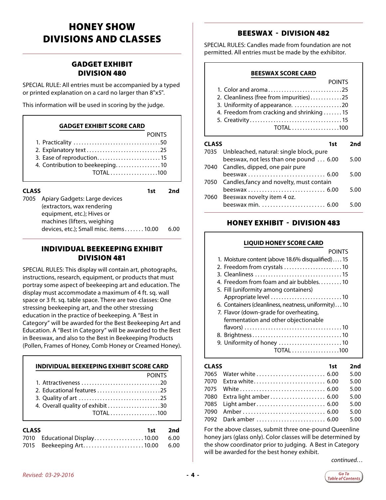### <span id="page-3-0"></span>HONEY SHOW DIVISIONS AND CLASSES

#### GADGET EXHIBIT DIVISION 480

SPECIAL RULE: All entries must be accompanied by a typed or printed explanation on a card no larger than 8"x5".

This information will be used in scoring by the judge.

#### **GADGET EXHIBIT SCORE CARD**

|                                 | <b>POINTS</b> |
|---------------------------------|---------------|
|                                 |               |
| 2. Explanatory text 25          |               |
| 3. Ease of reproduction 15      |               |
| 4. Contribution to beekeeping10 |               |
| <b>TOTAL</b> 100                |               |

| <b>CLASS</b><br>1st. |                                                             |  | 2nd  |
|----------------------|-------------------------------------------------------------|--|------|
| 7005                 | Apiary Gadgets: Large devices<br>(extractors, wax rendering |  |      |
|                      | equipment, etc.); Hives or<br>machines (lifters, weighing   |  | 6.00 |
|                      | devices, etc.); Small misc. items 10.00                     |  |      |

#### INDIVIDUAL BEEKEEPING EXHIBIT DIVISION 481

SPECIAL RULES: This display will contain art, photographs, instructions, research, equipment, or products that must portray some aspect of beekeeping art and education. The display must accommodate a maximum of 4 ft. sq. wall space or 3 ft. sq. table space. There are two classes: One stressing beekeeping art, and the other stressing education in the practice of beekeeping. A "Best in Category" will be awarded for the Best Beekeeping Art and Education. A "Best in Category" will be awarded to the Best in Beeswax, and also to the Best in Beekeeping Products (Pollen, Frames of Honey, Comb Honey or Creamed Honey).

|                                  | <b>POINTS</b>    |
|----------------------------------|------------------|
|                                  |                  |
| 2. Educational features 25       |                  |
|                                  |                  |
| 4. Overall quality of exhibit 30 |                  |
|                                  | <b>TOTAL</b> 100 |

| <b>CLASS</b> |                                    | 1st 2nd |
|--------------|------------------------------------|---------|
|              | 7010 Educational Display10.00 6.00 |         |
|              |                                    |         |

#### BEESWAX - DIVISION 482

SPECIAL RULES: Candles made from foundation are not permitted. All entries must be made by the exhibitor.

#### **BEESWAX SCORE CARD**

| <b>POINTS</b>                             |
|-------------------------------------------|
| 1. Color and aroma25                      |
| 2. Cleanliness (free from impurities)25   |
| 3. Uniformity of appearance. 20           |
| 4. Freedom from cracking and shrinking 15 |
|                                           |
| $TOTAL$ 100                               |

#### **CLASS 1st 2nd**

|      | 7035 Unbleached, natural: single block, pure<br>beeswax, not less than one pound  6.00 | 5.00 |
|------|----------------------------------------------------------------------------------------|------|
|      | 7040 Candles, dipped, one pair pure                                                    |      |
|      | beeswax  6.00                                                                          | 5.00 |
|      | 7050 Candles, fancy and novelty, must contain                                          |      |
|      |                                                                                        | 5.00 |
| 7060 | Beeswax novelty item 4 oz.                                                             |      |
|      |                                                                                        | 5.00 |
|      |                                                                                        |      |

#### HONEY EXHIBIT - DIVISION 483

#### **LIQUID HONEY SCORE CARD**

| <b>POINTS</b>                                       |
|-----------------------------------------------------|
| 1. Moisture content (above 18.6% disqualified)15    |
| 2. Freedom from crystals 10                         |
|                                                     |
| 4. Freedom from foam and air bubbles10              |
| 5. Fill (uniformity among containers)               |
|                                                     |
| 6. Containers (cleanliness, neatness, uniformity)10 |
| 7. Flavor (down-grade for overheating,              |
| fermentation and other objectionable                |
|                                                     |
|                                                     |
| 9. Uniformity of honey 10                           |
| TOTAL 100                                           |

#### **CLASS 1st 2nd** 7065 Water white. . . 6.00 5.00 7070 Extra white. . . 6.00 5.00 7075 White. . . 6.00 5.00 7080 Extra light amber........................... 6.00 5.00 7085 Light amber. . . 6.00 5.00 7090 Amber. . . 6.00 5.00 7092 Dark amber. . . 6.00 5.00

For the above classes, submit three one-pound Queenline honey jars (glass only). Color classes will be determined by the show coordinator prior to judging. A Best in Category will be awarded for the best honey exhibit.

*continued…*

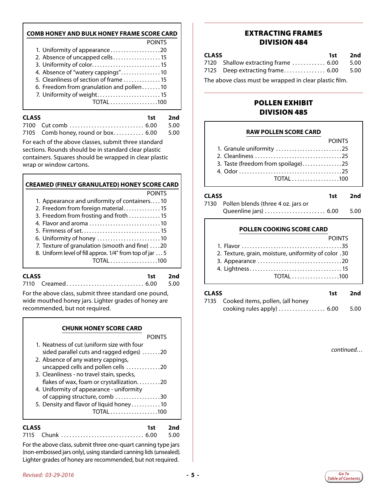#### <span id="page-4-0"></span>**COMB HONEY AND BULK HONEY FRAME SCORE CARD**

| <b>POINTS</b>                            |
|------------------------------------------|
| 1. Uniformity of appearance20            |
| 2. Absence of uncapped cells15           |
| 3. Uniformity of color 15                |
| 4. Absence of "watery cappings"10        |
| 5. Cleanliness of section of frame 15    |
| 6. Freedom from granulation and pollen10 |
| 7. Uniformity of weight 15               |
| TOTAL 100                                |
|                                          |

| <b>CLASS</b> |                                         | 1st 2nd |  |  |
|--------------|-----------------------------------------|---------|--|--|
|              |                                         |         |  |  |
|              | 7105 Comb honey, round or box 6.00 5.00 |         |  |  |

For each of the above classes, submit three standard sections. Rounds should be in standard clear plastic containers. Squares should be wrapped in clear plastic wrap or window cartons.

| <b>CREAMED (FINELY GRANULATED) HONEY SCORE CARD</b> |               |
|-----------------------------------------------------|---------------|
|                                                     | <b>POINTS</b> |

| 1. Appearance and uniformity of containers10 |  |  |
|----------------------------------------------|--|--|
|                                              |  |  |

- 2. Freedom from foreign material.............. 15
- 3. Freedom from frosting and froth . . . . . . . . . . . 15
- 4. Flavor and aroma. . 10
- 5. Firmness of set.. . 15
- 6. Uniformity of honey. . 10
- 7. Texture of granulation (smooth and fine)  $\dots$  20
- 8. Uniform level of fill approx. 1/4" from top of jar. . . 5 TOTAL . . . . . . . . . . . . . . . . . .100

#### **CLASS 1st 2nd** 7110 Creamed. . . 6.00 5.00

For the above class, submit three standard one pound, wide mouthed honey jars. Lighter grades of honey are recommended, but not required.

| <b>CHUNK HONEY SCORE CARD</b>              |
|--------------------------------------------|
| POINTS                                     |
| 1. Neatness of cut (uniform size with four |
| sided parallel cuts and ragged edges) 20   |
| 2. Absence of any watery cappings,         |
| uncapped cells and pollen cells 20         |
| 3. Cleanliness - no travel stain, specks,  |
| flakes of wax, foam or crystallization20   |
| 4. Uniformity of appearance - uniformity   |
| of capping structure, comb 30              |
| 5. Density and flavor of liquid honey10    |
| TOTAL 100                                  |
|                                            |

| <b>CLASS</b> |                       | 1st 2nd |
|--------------|-----------------------|---------|
|              | 7115 Chunk  6.00 5.00 |         |

For the above class, submit three one-quart canning type jars (non-embossed jars only), using standard canning lids (unsealed). Lighter grades of honey are recommended, but not required.

#### EXTRACTING FRAMES DIVISION 484

| <b>CLASS</b> |                                          | 1st 2nd |
|--------------|------------------------------------------|---------|
|              | 7120 Shallow extracting frame  6.00 5.00 |         |
|              | 7125 Deep extracting frame 6.00 5.00     |         |

The above class must be wrapped in clear plastic film.

#### POLLEN EXHIBIT DIVISION 485

#### **RAW POLLEN SCORE CARD**

|                                    | <b>POINTS</b> |
|------------------------------------|---------------|
| 1. Granule uniformity 25           |               |
|                                    |               |
| 3. Taste (freedom from spoilage)25 |               |
|                                    |               |
| TOTAL 100                          |               |

#### **CLASS 1st 2nd**

| 7130 Pollen blends (three 4 oz. jars or |  |
|-----------------------------------------|--|
| Queenline jars)  6.00 5.00              |  |

#### **POLLEN COOKING SCORE CARD**

| <b>POINTS</b>                                        |
|------------------------------------------------------|
|                                                      |
| 2. Texture, grain, moisture, uniformity of color .30 |
|                                                      |
|                                                      |
| TOTAL100                                             |

**CLASS 1st 2nd** 7135 Cooked items, pollen, (all honey cooking rules apply)  $\ldots$ ....................... 6.00 5.00

*continued…*